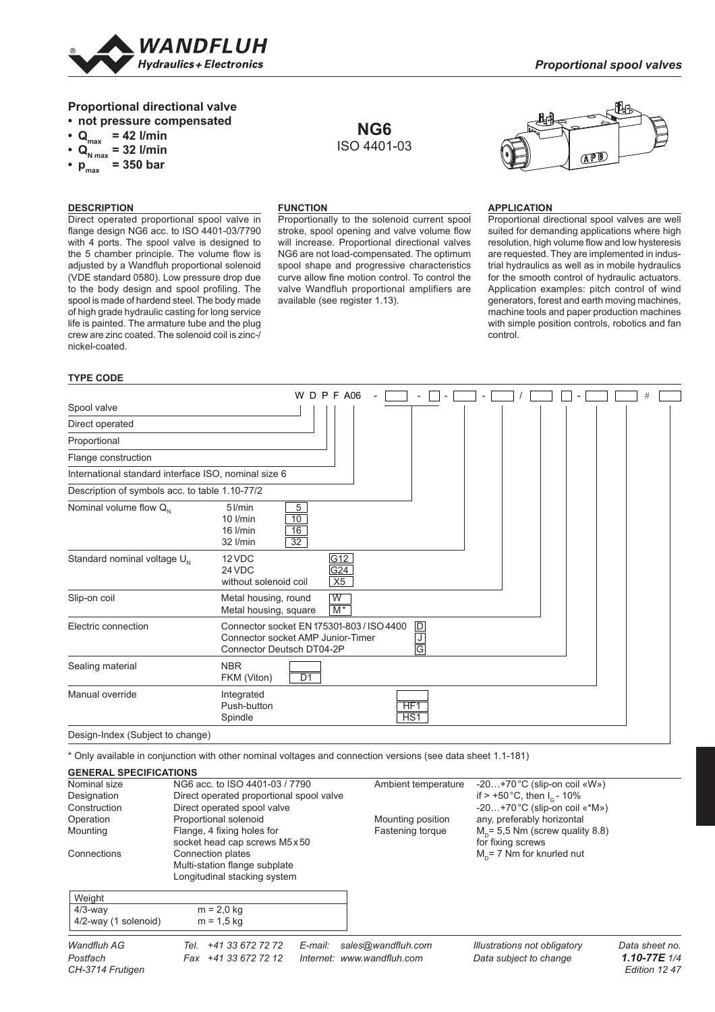

# **Proportional directional valve**

- **not pressure compensated**
- **Qmax = 42 l/min**
- $Q_{N \text{ max}}^{\text{max}} = 32 \text{ l/min}$
- **pmax = 350 bar**

### **DESCRIPTION**

Direct operated proportional spool valve in flange design NG6 acc. to ISO 4401-03/7790 with 4 ports. The spool valve is designed to the 5 chamber principle. The volume flow is adjusted by a Wandfluh proportional solenoid (VDE standard 0580). Low pressure drop due to the body design and spool profiling. The spool is made of hardend steel. The body made of high grade hydraulic casting for long service life is painted. The armature tube and the plug crew are zinc coated. The solenoid coil is zinc-/ nickel-coated.

# **FUNCTION**

Proportionally to the solenoid current spool stroke, spool opening and valve volume flow will increase. Proportional directional valves NG6 are not load-compensated. The optimum spool shape and progressive characteristics curve allow fine motion control. To control the valve Wandfluh proportional amplifiers are available (see register 1.13).

**NG6** ISO 4401-03



## **APPLICATION**

Proportional directional spool valves are well suited for demanding applications where high resolution, high volume flow and low hysteresis are requested. They are implemented in industrial hydraulics as well as in mobile hydraulics for the smooth control of hydraulic actuators. Application examples: pitch control of wind generators, forest and earth moving machines, machine tools and paper production machines with simple position controls, robotics and fan control.

#### **TYPE CODE**

|                                                      | W                                                                                                           |    | DPFA06                  |                                    |                                                   |  |  |  |  | # |  |
|------------------------------------------------------|-------------------------------------------------------------------------------------------------------------|----|-------------------------|------------------------------------|---------------------------------------------------|--|--|--|--|---|--|
| Spool valve                                          |                                                                                                             |    |                         |                                    |                                                   |  |  |  |  |   |  |
| Direct operated                                      |                                                                                                             |    |                         |                                    |                                                   |  |  |  |  |   |  |
| Proportional                                         |                                                                                                             |    |                         |                                    |                                                   |  |  |  |  |   |  |
| Flange construction                                  |                                                                                                             |    |                         |                                    |                                                   |  |  |  |  |   |  |
| International standard interface ISO, nominal size 6 |                                                                                                             |    |                         |                                    |                                                   |  |  |  |  |   |  |
| Description of symbols acc. to table 1.10-77/2       |                                                                                                             |    |                         |                                    |                                                   |  |  |  |  |   |  |
| Nominal volume flow $Q_{N}$                          | 5<br>$5$ $l/min$<br>10<br>$10$ $l/min$<br>16<br>16 I/min<br>$\overline{32}$<br>32 l/min                     |    |                         |                                    |                                                   |  |  |  |  |   |  |
| Standard nominal voltage U <sub>N</sub>              | 12 VDC<br>24 VDC<br>without solenoid coil                                                                   |    | G12<br>G24<br>X5        |                                    |                                                   |  |  |  |  |   |  |
| Slip-on coil                                         | Metal housing, round<br>Metal housing, square                                                               |    | $\overline{W}$<br>$M^*$ |                                    |                                                   |  |  |  |  |   |  |
| Electric connection                                  | Connector socket EN 175301-803 / ISO 4400<br>Connector socket AMP Junior-Timer<br>Connector Deutsch DT04-2P |    |                         |                                    | $\overline{D}$<br>$\frac{\mathsf{J}}{\mathsf{G}}$ |  |  |  |  |   |  |
| Sealing material                                     | <b>NBR</b><br>FKM (Viton)                                                                                   | D1 |                         |                                    |                                                   |  |  |  |  |   |  |
| Manual override                                      | Integrated<br>Push-button<br>Spindle                                                                        |    |                         | HF <sub>1</sub><br>HS <sub>1</sub> |                                                   |  |  |  |  |   |  |
| Design-Index (Subject to change)                     |                                                                                                             |    |                         |                                    |                                                   |  |  |  |  |   |  |

\* Only available in conjunction with other nominal voltages and connection versions (see data sheet 1.1-181)

#### Wandfluh AG Tel. +41 33 672 72 72 E-mail: sales@wandfluh.com Illustrations not obligatory Data sheet no. *Postfach Fax +41 33 672 72 12 Internet: www.wandfl uh.com Data subject to change 1.10-77E 1/4* **GENERAL SPECIFICATIONS** Nominal size NG6 acc. to ISO 4401-03 / 7790 Ambient temperature -20...+70 °C (slip-on coil «W»)<br>Designation Direct operated proportional spool valve if > +50 °C, then I<sub>c</sub> - 10% Designation Direct operated proportional spool valve<br>Construction Direct operated spool valve  $-20...+70$  °C (slip-on coil «\*M») Operation **Proportional solenoid** Mounting position any, preferably horizontal Mounting **M**<sub>n</sub> = 5,5 Nm (screw qualit Mounting M<sub>n</sub> = 5,5 Nm (screw qualit Mounting Flange, 4 fixing holes for Fastening torque M<sub>D</sub>= 5,5 Nm (scr<br>socket head cap screws M5x50 for fixing screws  $M_p$ = 5,5 Nm (screw quality 8.8) socket head cap screws M5 x 50<br>Connections Connection plates Connection plates  $M<sub>n</sub>$  = 7 Nm for knurled nut Multi-station flange subplate Longitudinal stacking system Weight  $\frac{4}{3}$ -way m = 2,0 kg  $4/2$ -way (1 solenoid)  $m = 1.5$  kg

*CH-3714 Frutigen Edition 12 47*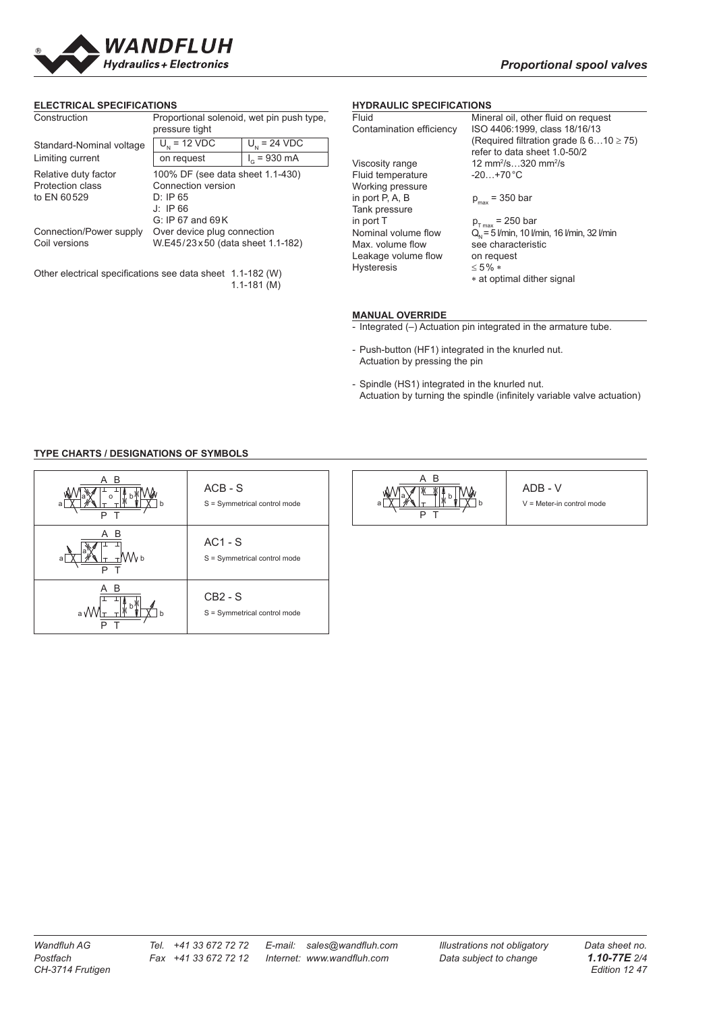

#### **ELECTRICAL SPECIFICATIONS**

| Construction                                                                  | Proportional solenoid, wet pin push type,<br>pressure tight                                          |                          |  |  |  |  |
|-------------------------------------------------------------------------------|------------------------------------------------------------------------------------------------------|--------------------------|--|--|--|--|
| Standard-Nominal voltage                                                      | $U_{N}$ = 12 VDC                                                                                     | $U_{1} = 24 \text{ VDC}$ |  |  |  |  |
| Limiting current                                                              | on request                                                                                           | $I_c = 930 \text{ mA}$   |  |  |  |  |
| Relative duty factor<br>Protection class<br>to EN 60529                       | 100% DF (see data sheet 1.1-430)<br>Connection version<br>D: IP65<br>J: IP66<br>$G: IP 67$ and $69K$ |                          |  |  |  |  |
| Connection/Power supply                                                       | Over device plug connection                                                                          |                          |  |  |  |  |
| Coil versions                                                                 | W.E45/23x50 (data sheet 1.1-182)                                                                     |                          |  |  |  |  |
| Other electrical specifications see data sheet 1.1-182 (W)<br>$1.1 - 181$ (M) |                                                                                                      |                          |  |  |  |  |

### **HYDRAULIC SPECIFICATIONS**

| Fluid                    | Mineral oil, other fluid on request               |
|--------------------------|---------------------------------------------------|
| Contamination efficiency | ISO 4406:1999. class 18/16/13                     |
|                          | (Required filtration grade $\beta$ 610 $\geq$ 75) |
|                          | refer to data sheet 1.0-50/2                      |
| Viscosity range          | 12 mm <sup>2</sup> /s320 mm <sup>2</sup> /s       |
| Fluid temperature        | $-20+70 °C$                                       |
| Working pressure         |                                                   |
| in port P, A, B          | $p_{max}$ = 350 bar                               |
| Tank pressure            |                                                   |
| in port T                | $p_{T_{max}}$ = 250 bar                           |
| Nominal volume flow      | $Q_{N}$ = 5 l/min, 10 l/min, 16 l/min, 32 l/min   |
| Max, volume flow         | see characteristic                                |
| Leakage volume flow      | on request                                        |
| <b>Hysteresis</b>        | $<$ 5% $*$                                        |
|                          | * at optimal dither signal                        |
|                          |                                                   |

#### **MANUAL OVERRIDE**

- Integrated (-) Actuation pin integrated in the armature tube.

- Push-button (HF1) integrated in the knurled nut. Actuation by pressing the pin
- Spindle (HS1) integrated in the knurled nut. Actuation by turning the spindle (infinitely variable valve actuation)

# **TYPE CHARTS / DESIGNATIONS OF SYMBOLS**

| A B<br>P T            | $ACB - S$<br>S = Symmetrical control mode | A B<br>я<br>P<br>$\top$ | ADB - V<br>$V =$ Meter-in control mode |
|-----------------------|-------------------------------------------|-------------------------|----------------------------------------|
| A B<br>VV b<br>a<br>P | $AC1 - S$<br>S = Symmetrical control mode |                         |                                        |
| A B<br>a W<br>P       | $CB2 - S$<br>S = Symmetrical control mode |                         |                                        |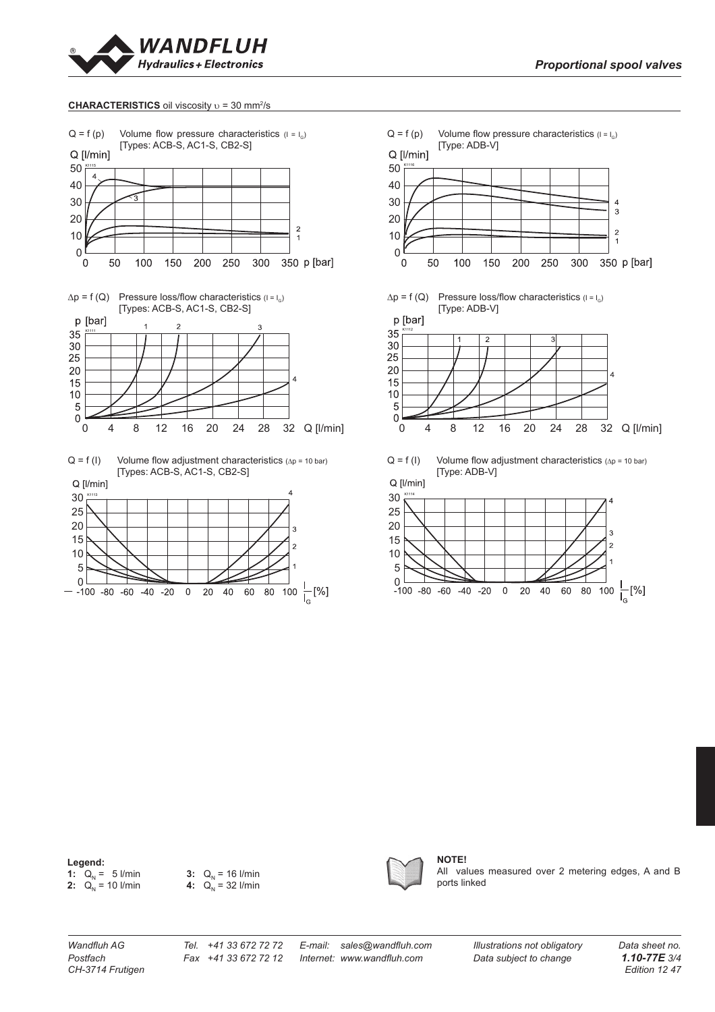

#### CHARACTERISTICS oil viscosity **υ** = 30 mm<sup>2</sup>/s







#### **Legend:**

**1:** Q<sub>N</sub> = 5 l/min **3:** Q<sub>N</sub> **2:**  $Q_N = 10$  l/min **4:**  $Q_N$ 

3:  $Q_N = 16$  l/min 4:  $Q_N^{\prime\prime} = 32$  l/min



**NOTE!** All values measured over 2 metering edges, A and B ports linked

*Postfach Fax +41 33 672 72 12 Internet: www.wandfl uh.com Data subject to change 1.10-77E 3/4* **CH-3714 Frutigen** 

60  $80\,$ 

 $\,0\,$  $20\,$ 40

Wandfluh AG Tel. +41 33 672 72 72 E-mail: sales@wandfluh.com Illustrations not obligatory Data sheet no.